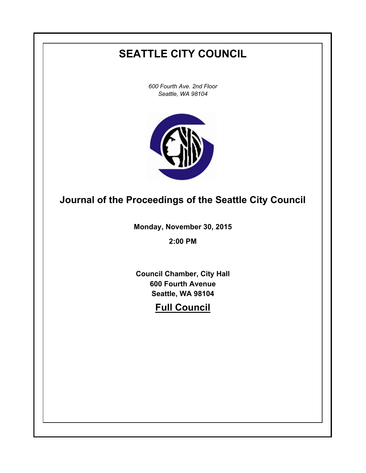# **SEATTLE CITY COUNCIL**

*600 Fourth Ave. 2nd Floor Seattle, WA 98104*



# **Journal of the Proceedings of the Seattle City Council**

**Monday, November 30, 2015**

**2:00 PM**

**Council Chamber, City Hall 600 Fourth Avenue Seattle, WA 98104**

# **Full Council**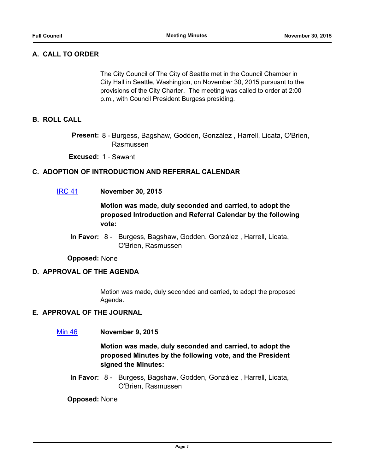# **A. CALL TO ORDER**

The City Council of The City of Seattle met in the Council Chamber in City Hall in Seattle, Washington, on November 30, 2015 pursuant to the provisions of the City Charter. The meeting was called to order at 2:00 p.m., with Council President Burgess presiding.

## **B. ROLL CALL**

Present: 8 - Burgess, Bagshaw, Godden, González, Harrell, Licata, O'Brien, Rasmussen

**Excused:** 1 - Sawant

## **C. ADOPTION OF INTRODUCTION AND REFERRAL CALENDAR**

[IRC 41](http://seattle.legistar.com/gateway.aspx?m=l&id=/matter.aspx?key=3453) **November 30, 2015**

# **Motion was made, duly seconded and carried, to adopt the proposed Introduction and Referral Calendar by the following vote:**

In Favor: 8 - Burgess, Bagshaw, Godden, González, Harrell, Licata, O'Brien, Rasmussen

**Opposed:** None

## **D. APPROVAL OF THE AGENDA**

Motion was made, duly seconded and carried, to adopt the proposed Agenda.

## **E. APPROVAL OF THE JOURNAL**

[Min 46](http://seattle.legistar.com/gateway.aspx?m=l&id=/matter.aspx?key=3334) **November 9, 2015**

**Motion was made, duly seconded and carried, to adopt the proposed Minutes by the following vote, and the President signed the Minutes:**

In Favor: 8 - Burgess, Bagshaw, Godden, González, Harrell, Licata, O'Brien, Rasmussen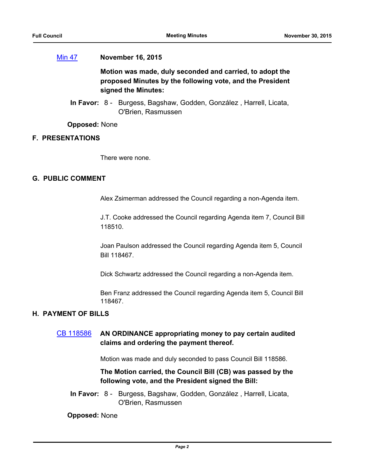#### [Min 47](http://seattle.legistar.com/gateway.aspx?m=l&id=/matter.aspx?key=3448) **November 16, 2015**

**Motion was made, duly seconded and carried, to adopt the proposed Minutes by the following vote, and the President signed the Minutes:**

In Favor: 8 - Burgess, Bagshaw, Godden, González, Harrell, Licata, O'Brien, Rasmussen

**Opposed:** None

## **F. PRESENTATIONS**

There were none.

#### **G. PUBLIC COMMENT**

Alex Zsimerman addressed the Council regarding a non-Agenda item.

J.T. Cooke addressed the Council regarding Agenda item 7, Council Bill 118510.

Joan Paulson addressed the Council regarding Agenda item 5, Council Bill 118467.

Dick Schwartz addressed the Council regarding a non-Agenda item.

Ben Franz addressed the Council regarding Agenda item 5, Council Bill 118467.

#### **H. PAYMENT OF BILLS**

# [CB 118586](http://seattle.legistar.com/gateway.aspx?m=l&id=/matter.aspx?key=3446) **AN ORDINANCE appropriating money to pay certain audited claims and ordering the payment thereof.**

Motion was made and duly seconded to pass Council Bill 118586.

# **The Motion carried, the Council Bill (CB) was passed by the following vote, and the President signed the Bill:**

In Favor: 8 - Burgess, Bagshaw, Godden, González, Harrell, Licata, O'Brien, Rasmussen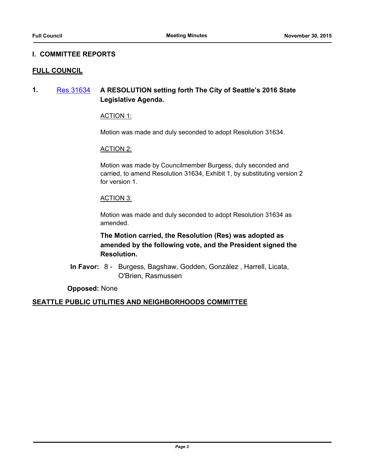### **I. COMMITTEE REPORTS**

#### **FULL COUNCIL**

**1.** [Res 31634](http://seattle.legistar.com/gateway.aspx?m=l&id=/matter.aspx?key=3422) **A RESOLUTION setting forth The City of Seattle's 2016 State Legislative Agenda.**

#### ACTION 1:

Motion was made and duly seconded to adopt Resolution 31634.

#### ACTION 2:

Motion was made by Councilmember Burgess, duly seconded and carried, to amend Resolution 31634, Exhibit 1, by substituting version 2 for version 1.

#### ACTION 3:

Motion was made and duly seconded to adopt Resolution 31634 as amended.

**The Motion carried, the Resolution (Res) was adopted as amended by the following vote, and the President signed the Resolution.**

In Favor: 8 - Burgess, Bagshaw, Godden, González, Harrell, Licata, O'Brien, Rasmussen

**Opposed:** None

## **SEATTLE PUBLIC UTILITIES AND NEIGHBORHOODS COMMITTEE**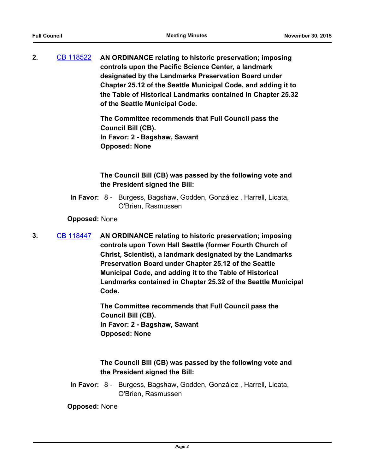**2.** [CB 118522](http://seattle.legistar.com/gateway.aspx?m=l&id=/matter.aspx?key=2867) **AN ORDINANCE relating to historic preservation; imposing controls upon the Pacific Science Center, a landmark designated by the Landmarks Preservation Board under Chapter 25.12 of the Seattle Municipal Code, and adding it to the Table of Historical Landmarks contained in Chapter 25.32 of the Seattle Municipal Code.**

> **The Committee recommends that Full Council pass the Council Bill (CB). In Favor: 2 - Bagshaw, Sawant Opposed: None**

**The Council Bill (CB) was passed by the following vote and the President signed the Bill:**

In Favor: 8 - Burgess, Bagshaw, Godden, González, Harrell, Licata, O'Brien, Rasmussen

#### **Opposed:** None

**3.** [CB 118447](http://seattle.legistar.com/gateway.aspx?m=l&id=/matter.aspx?key=2491) **AN ORDINANCE relating to historic preservation; imposing controls upon Town Hall Seattle (former Fourth Church of Christ, Scientist), a landmark designated by the Landmarks Preservation Board under Chapter 25.12 of the Seattle Municipal Code, and adding it to the Table of Historical Landmarks contained in Chapter 25.32 of the Seattle Municipal Code.**

> **The Committee recommends that Full Council pass the Council Bill (CB). In Favor: 2 - Bagshaw, Sawant Opposed: None**

# **The Council Bill (CB) was passed by the following vote and the President signed the Bill:**

In Favor: 8 - Burgess, Bagshaw, Godden, González, Harrell, Licata, O'Brien, Rasmussen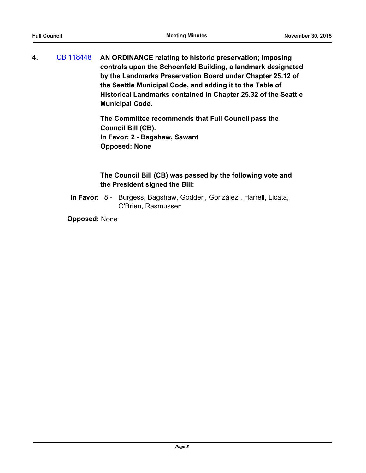**4.** [CB 118448](http://seattle.legistar.com/gateway.aspx?m=l&id=/matter.aspx?key=2493) **AN ORDINANCE relating to historic preservation; imposing controls upon the Schoenfeld Building, a landmark designated by the Landmarks Preservation Board under Chapter 25.12 of the Seattle Municipal Code, and adding it to the Table of Historical Landmarks contained in Chapter 25.32 of the Seattle Municipal Code.**

> **The Committee recommends that Full Council pass the Council Bill (CB). In Favor: 2 - Bagshaw, Sawant Opposed: None**

# **The Council Bill (CB) was passed by the following vote and the President signed the Bill:**

In Favor: 8 - Burgess, Bagshaw, Godden, González, Harrell, Licata, O'Brien, Rasmussen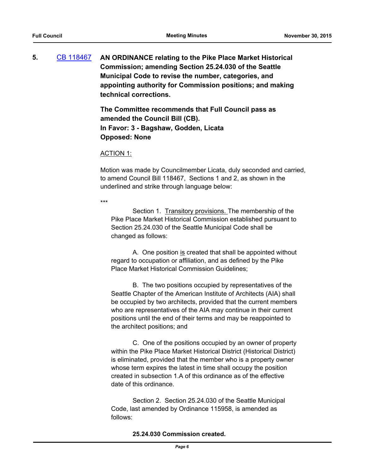**5.** [CB 118467](http://seattle.legistar.com/gateway.aspx?m=l&id=/matter.aspx?key=2766) **AN ORDINANCE relating to the Pike Place Market Historical Commission; amending Section 25.24.030 of the Seattle Municipal Code to revise the number, categories, and appointing authority for Commission positions; and making technical corrections.**

> **The Committee recommends that Full Council pass as amended the Council Bill (CB). In Favor: 3 - Bagshaw, Godden, Licata Opposed: None**

#### ACTION 1:

Motion was made by Councilmember Licata, duly seconded and carried, to amend Council Bill 118467, Sections 1 and 2, as shown in the underlined and strike through language below:

\*\*\*

Section 1. Transitory provisions. The membership of the Pike Place Market Historical Commission established pursuant to Section 25.24.030 of the Seattle Municipal Code shall be changed as follows:

A. One position is created that shall be appointed without regard to occupation or affiliation, and as defined by the Pike Place Market Historical Commission Guidelines;

B. The two positions occupied by representatives of the Seattle Chapter of the American Institute of Architects (AIA) shall be occupied by two architects, provided that the current members who are representatives of the AIA may continue in their current positions until the end of their terms and may be reappointed to the architect positions; and

C. One of the positions occupied by an owner of property within the Pike Place Market Historical District (Historical District) is eliminated, provided that the member who is a property owner whose term expires the latest in time shall occupy the position created in subsection 1.A of this ordinance as of the effective date of this ordinance.

Section 2. Section 25.24.030 of the Seattle Municipal Code, last amended by Ordinance 115958, is amended as follows:

## **25.24.030 Commission created.**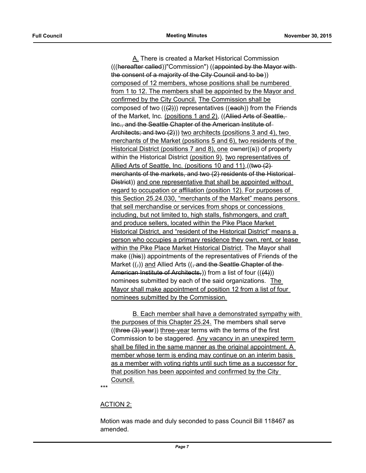A. There is created a Market Historical Commission (((hereafter called))"Commission") ((appointed by the Mayor with the consent of a majority of the City Council and to be)) composed of 12 members, whose positions shall be numbered from 1 to 12. The members shall be appointed by the Mayor and confirmed by the City Council. The Commission shall be composed of two  $((2))$  representatives  $((each))$  from the Friends of the Market, Inc. (positions 1 and 2), ((Allied Arts of Seattle, Inc., and the Seattle Chapter of the American Institute of Architects; and two (2))) two architects (positions 3 and 4), two merchants of the Market (positions 5 and 6), two residents of the Historical District (positions 7 and 8), one owner( $(s)$ ) of property within the Historical District (position 9), two representatives of Allied Arts of Seattle, Inc. (positions 10 and 11), ((two  $(2)$ ) merchants of the markets, and two (2) residents of the Historical District)) and one representative that shall be appointed without regard to occupation or affiliation (position 12). For purposes of this Section 25.24.030, "merchants of the Market" means persons that sell merchandise or services from shops or concessions including, but not limited to, high stalls, fishmongers, and craft and produce sellers, located within the Pike Place Market Historical District, and "resident of the Historical District" means a person who occupies a primary residence they own, rent, or lease within the Pike Place Market Historical District. The Mayor shall make ((his)) appointments of the representatives of Friends of the Market  $((,))$  and Allied Arts  $((, and the Seattle Chapter of the-))$ American Institute of Architects, ) from a list of four  $((4))$ nominees submitted by each of the said organizations. The Mayor shall make appointment of position 12 from a list of four nominees submitted by the Commission.

B. Each member shall have a demonstrated sympathy with the purposes of this Chapter 25.24. The members shall serve  $((three (3) year))$  three-year terms with the terms of the first Commission to be staggered. Any vacancy in an unexpired term shall be filled in the same manner as the original appointment. A member whose term is ending may continue on an interim basis as a member with voting rights until such time as a successor for that position has been appointed and confirmed by the City Council.

\*\*\*

## ACTION 2:

Motion was made and duly seconded to pass Council Bill 118467 as amended.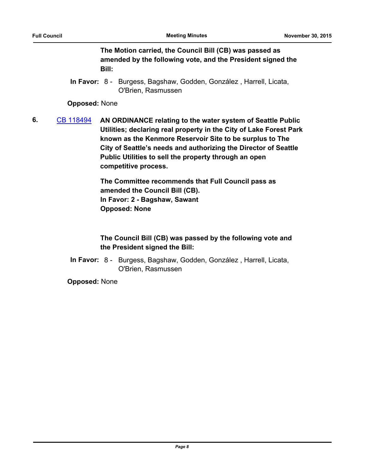**The Motion carried, the Council Bill (CB) was passed as amended by the following vote, and the President signed the Bill:**

In Favor: 8 - Burgess, Bagshaw, Godden, González, Harrell, Licata, O'Brien, Rasmussen

**Opposed:** None

**6.** [CB 118494](http://seattle.legistar.com/gateway.aspx?m=l&id=/matter.aspx?key=2832) **AN ORDINANCE relating to the water system of Seattle Public Utilities; declaring real property in the City of Lake Forest Park known as the Kenmore Reservoir Site to be surplus to The City of Seattle's needs and authorizing the Director of Seattle Public Utilities to sell the property through an open competitive process.**

> **The Committee recommends that Full Council pass as amended the Council Bill (CB). In Favor: 2 - Bagshaw, Sawant Opposed: None**

**The Council Bill (CB) was passed by the following vote and the President signed the Bill:**

In Favor: 8 - Burgess, Bagshaw, Godden, González, Harrell, Licata, O'Brien, Rasmussen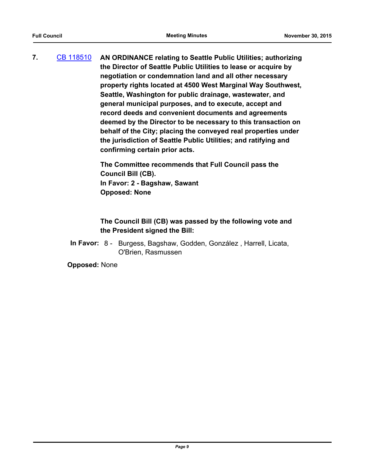**7.** [CB 118510](http://seattle.legistar.com/gateway.aspx?m=l&id=/matter.aspx?key=2882) **AN ORDINANCE relating to Seattle Public Utilities; authorizing the Director of Seattle Public Utilities to lease or acquire by negotiation or condemnation land and all other necessary property rights located at 4500 West Marginal Way Southwest, Seattle, Washington for public drainage, wastewater, and general municipal purposes, and to execute, accept and record deeds and convenient documents and agreements deemed by the Director to be necessary to this transaction on behalf of the City; placing the conveyed real properties under the jurisdiction of Seattle Public Utilities; and ratifying and confirming certain prior acts.**

> **The Committee recommends that Full Council pass the Council Bill (CB). In Favor: 2 - Bagshaw, Sawant Opposed: None**

# **The Council Bill (CB) was passed by the following vote and the President signed the Bill:**

In Favor: 8 - Burgess, Bagshaw, Godden, González, Harrell, Licata, O'Brien, Rasmussen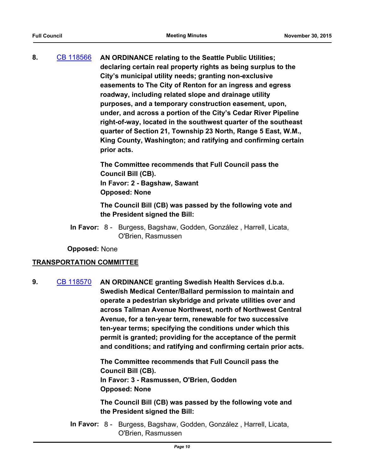**8.** [CB 118566](http://seattle.legistar.com/gateway.aspx?m=l&id=/matter.aspx?key=3087) **AN ORDINANCE relating to the Seattle Public Utilities; declaring certain real property rights as being surplus to the City's municipal utility needs; granting non-exclusive easements to The City of Renton for an ingress and egress roadway, including related slope and drainage utility purposes, and a temporary construction easement, upon, under, and across a portion of the City's Cedar River Pipeline right-of-way, located in the southwest quarter of the southeast quarter of Section 21, Township 23 North, Range 5 East, W.M., King County, Washington; and ratifying and confirming certain prior acts.**

> **The Committee recommends that Full Council pass the Council Bill (CB). In Favor: 2 - Bagshaw, Sawant Opposed: None**

**The Council Bill (CB) was passed by the following vote and the President signed the Bill:**

In Favor: 8 - Burgess, Bagshaw, Godden, González, Harrell, Licata, O'Brien, Rasmussen

**Opposed:** None

## **TRANSPORTATION COMMITTEE**

**9.** [CB 118570](http://seattle.legistar.com/gateway.aspx?m=l&id=/matter.aspx?key=3111) **AN ORDINANCE granting Swedish Health Services d.b.a. Swedish Medical Center/Ballard permission to maintain and operate a pedestrian skybridge and private utilities over and across Tallman Avenue Northwest, north of Northwest Central Avenue, for a ten-year term, renewable for two successive ten-year terms; specifying the conditions under which this permit is granted; providing for the acceptance of the permit and conditions; and ratifying and confirming certain prior acts.**

> **The Committee recommends that Full Council pass the Council Bill (CB). In Favor: 3 - Rasmussen, O'Brien, Godden Opposed: None**

**The Council Bill (CB) was passed by the following vote and the President signed the Bill:**

In Favor: 8 - Burgess, Bagshaw, Godden, González, Harrell, Licata, O'Brien, Rasmussen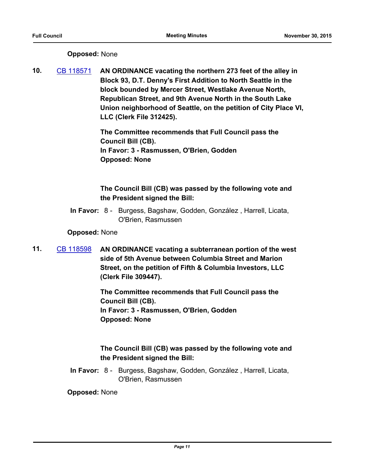# **Opposed:** None

**10.** [CB 118571](http://seattle.legistar.com/gateway.aspx?m=l&id=/matter.aspx?key=3295) **AN ORDINANCE vacating the northern 273 feet of the alley in Block 93, D.T. Denny's First Addition to North Seattle in the block bounded by Mercer Street, Westlake Avenue North, Republican Street, and 9th Avenue North in the South Lake Union neighborhood of Seattle, on the petition of City Place VI, LLC (Clerk File 312425).**

> **The Committee recommends that Full Council pass the Council Bill (CB). In Favor: 3 - Rasmussen, O'Brien, Godden Opposed: None**

# **The Council Bill (CB) was passed by the following vote and the President signed the Bill:**

In Favor: 8 - Burgess, Bagshaw, Godden, González, Harrell, Licata, O'Brien, Rasmussen

## **Opposed:** None

**11.** [CB 118598](http://seattle.legistar.com/gateway.aspx?m=l&id=/matter.aspx?key=2322) **AN ORDINANCE vacating a subterranean portion of the west side of 5th Avenue between Columbia Street and Marion Street, on the petition of Fifth & Columbia Investors, LLC (Clerk File 309447).**

> **The Committee recommends that Full Council pass the Council Bill (CB). In Favor: 3 - Rasmussen, O'Brien, Godden Opposed: None**

# **The Council Bill (CB) was passed by the following vote and the President signed the Bill:**

In Favor: 8 - Burgess, Bagshaw, Godden, González, Harrell, Licata, O'Brien, Rasmussen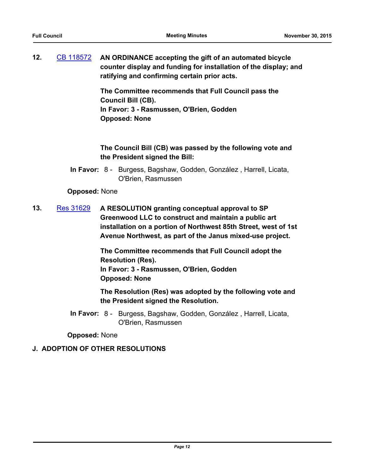**12.** [CB 118572](http://seattle.legistar.com/gateway.aspx?m=l&id=/matter.aspx?key=3042) **AN ORDINANCE accepting the gift of an automated bicycle counter display and funding for installation of the display; and ratifying and confirming certain prior acts.**

> **The Committee recommends that Full Council pass the Council Bill (CB). In Favor: 3 - Rasmussen, O'Brien, Godden Opposed: None**

# **The Council Bill (CB) was passed by the following vote and the President signed the Bill:**

In Favor: 8 - Burgess, Bagshaw, Godden, González, Harrell, Licata, O'Brien, Rasmussen

## **Opposed:** None

**13.** [Res 31629](http://seattle.legistar.com/gateway.aspx?m=l&id=/matter.aspx?key=2875) **A RESOLUTION granting conceptual approval to SP Greenwood LLC to construct and maintain a public art installation on a portion of Northwest 85th Street, west of 1st Avenue Northwest, as part of the Janus mixed-use project.**

> **The Committee recommends that Full Council adopt the Resolution (Res). In Favor: 3 - Rasmussen, O'Brien, Godden Opposed: None**

**The Resolution (Res) was adopted by the following vote and the President signed the Resolution.**

In Favor: 8 - Burgess, Bagshaw, Godden, González, Harrell, Licata, O'Brien, Rasmussen

**Opposed:** None

# **J. ADOPTION OF OTHER RESOLUTIONS**